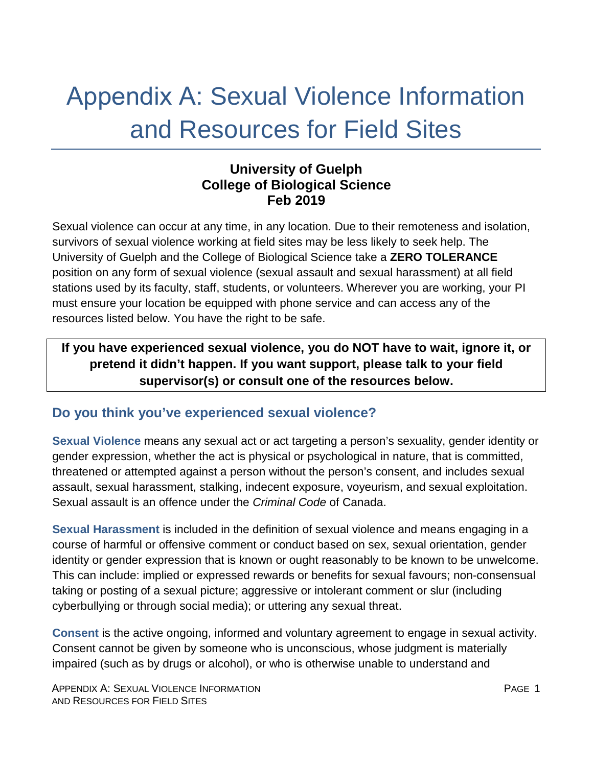# Appendix A: Sexual Violence Information and Resources for Field Sites

### **University of Guelph College of Biological Science Feb 2019**

Sexual violence can occur at any time, in any location. Due to their remoteness and isolation, survivors of sexual violence working at field sites may be less likely to seek help. The University of Guelph and the College of Biological Science take a **ZERO TOLERANCE** position on any form of sexual violence (sexual assault and sexual harassment) at all field stations used by its faculty, staff, students, or volunteers. Wherever you are working, your PI must ensure your location be equipped with phone service and can access any of the resources listed below. You have the right to be safe.

## **If you have experienced sexual violence, you do NOT have to wait, ignore it, or pretend it didn't happen. If you want support, please talk to your field supervisor(s) or consult one of the resources below.**

### **Do you think you've experienced sexual violence?**

**Sexual Violence** means any sexual act or act targeting a person's sexuality, gender identity or gender expression, whether the act is physical or psychological in nature, that is committed, threatened or attempted against a person without the person's consent, and includes sexual assault, sexual harassment, stalking, indecent exposure, voyeurism, and sexual exploitation. Sexual assault is an offence under the *Criminal Code* of Canada.

**Sexual Harassment** is included in the definition of sexual violence and means engaging in a course of harmful or offensive comment or conduct based on sex, sexual orientation, gender identity or gender expression that is known or ought reasonably to be known to be unwelcome. This can include: implied or expressed rewards or benefits for sexual favours; non-consensual taking or posting of a sexual picture; aggressive or intolerant comment or slur (including cyberbullying or through social media); or uttering any sexual threat.

**Consent** is the active ongoing, informed and voluntary agreement to engage in sexual activity. Consent cannot be given by someone who is unconscious, whose judgment is materially impaired (such as by drugs or alcohol), or who is otherwise unable to understand and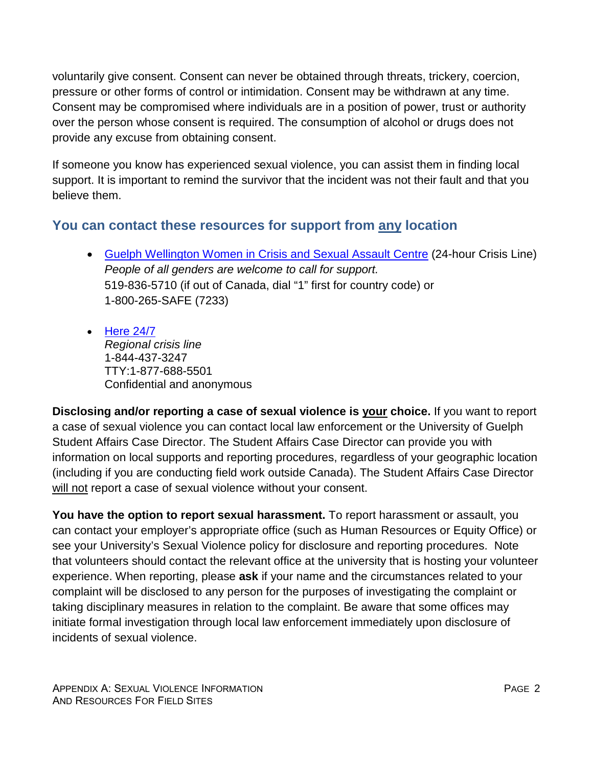voluntarily give consent. Consent can never be obtained through threats, trickery, coercion, pressure or other forms of control or intimidation. Consent may be withdrawn at any time. Consent may be compromised where individuals are in a position of power, trust or authority over the person whose consent is required. The consumption of alcohol or drugs does not provide any excuse from obtaining consent.

If someone you know has experienced sexual violence, you can assist them in finding local support. It is important to remind the survivor that the incident was not their fault and that you believe them.

## **You can contact these resources for support from any location**

- [Guelph Wellington Women in Crisis and](http://www.gwwomenincrisis.org/) Sexual Assault Centre (24-hour Crisis Line) *People of all genders are welcome to call for support.*  519-836-5710 (if out of Canada, dial "1" first for country code) or 1-800-265-SAFE (7233)
- [Here 24/7](http://here247.ca/) *Regional crisis line* 1-844-437-3247 TTY:1-877-688-5501 Confidential and anonymous

**Disclosing and/or reporting a case of sexual violence is your choice.** If you want to report a case of sexual violence you can contact local law enforcement or the University of Guelph Student Affairs Case Director. The Student Affairs Case Director can provide you with information on local supports and reporting procedures, regardless of your geographic location (including if you are conducting field work outside Canada). The Student Affairs Case Director will not report a case of sexual violence without your consent.

**You have the option to report sexual harassment.** To report harassment or assault, you can contact your employer's appropriate office (such as Human Resources or Equity Office) or see your University's Sexual Violence policy for disclosure and reporting procedures. Note that volunteers should contact the relevant office at the university that is hosting your volunteer experience. When reporting, please **ask** if your name and the circumstances related to your complaint will be disclosed to any person for the purposes of investigating the complaint or taking disciplinary measures in relation to the complaint. Be aware that some offices may initiate formal investigation through local law enforcement immediately upon disclosure of incidents of sexual violence.